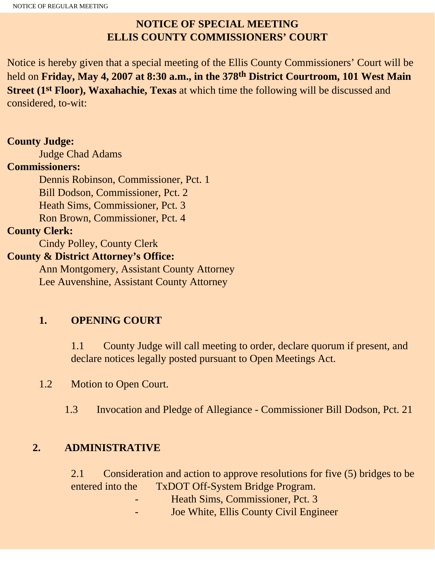# **NOTICE OF SPECIAL MEETING ELLIS COUNTY COMMISSIONERS' COURT**

Notice is hereby given that a special meeting of the Ellis County Commissioners' Court will be held on **Friday, May 4, 2007 at 8:30 a.m., in the 378th District Courtroom, 101 West Main Street (1st Floor), Waxahachie, Texas** at which time the following will be discussed and considered, to-wit:

## **County Judge:**

Judge Chad Adams

### **Commissioners:**

 Dennis Robinson, Commissioner, Pct. 1 Bill Dodson, Commissioner, Pct. 2 Heath Sims, Commissioner, Pct. 3 Ron Brown, Commissioner, Pct. 4

### **County Clerk:**

Cindy Polley, County Clerk

## **County & District Attorney's Office:**

 Ann Montgomery, Assistant County Attorney Lee Auvenshine, Assistant County Attorney

# **1. OPENING COURT**

1.1 County Judge will call meeting to order, declare quorum if present, and declare notices legally posted pursuant to Open Meetings Act.

1.2 Motion to Open Court.

1.3 Invocation and Pledge of Allegiance - Commissioner Bill Dodson, Pct. 21

## **2. ADMINISTRATIVE**

2.1 Consideration and action to approve resolutions for five (5) bridges to be entered into the TxDOT Off-System Bridge Program.

- Heath Sims, Commissioner, Pct. 3
- Joe White, Ellis County Civil Engineer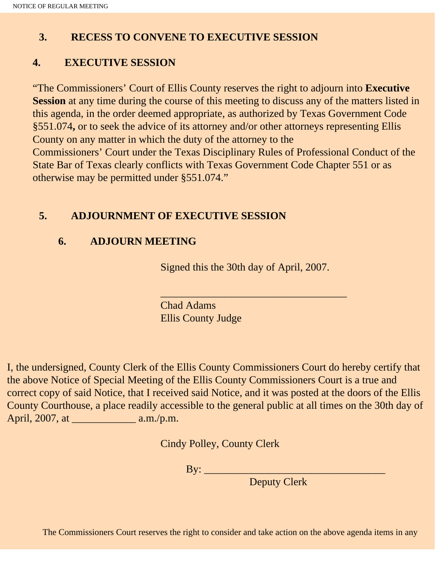## **3. RECESS TO CONVENE TO EXECUTIVE SESSION**

## **4. EXECUTIVE SESSION**

"The Commissioners' Court of Ellis County reserves the right to adjourn into **Executive Session** at any time during the course of this meeting to discuss any of the matters listed in this agenda, in the order deemed appropriate, as authorized by Texas Government Code §551.074**,** or to seek the advice of its attorney and/or other attorneys representing Ellis County on any matter in which the duty of the attorney to the Commissioners' Court under the Texas Disciplinary Rules of Professional Conduct of the State Bar of Texas clearly conflicts with Texas Government Code Chapter 551 or as otherwise may be permitted under §551.074."

### **5. ADJOURNMENT OF EXECUTIVE SESSION**

### **6. ADJOURN MEETING**

Signed this the 30th day of April, 2007.

 $\overline{\phantom{a}}$  , and the set of the set of the set of the set of the set of the set of the set of the set of the set of the set of the set of the set of the set of the set of the set of the set of the set of the set of the s

Chad Adams Ellis County Judge

I, the undersigned, County Clerk of the Ellis County Commissioners Court do hereby certify that the above Notice of Special Meeting of the Ellis County Commissioners Court is a true and correct copy of said Notice, that I received said Notice, and it was posted at the doors of the Ellis County Courthouse, a place readily accessible to the general public at all times on the 30th day of April, 2007, at  $a.m./p.m.$ 

Cindy Polley, County Clerk

By: \_\_\_\_\_\_\_\_\_\_\_\_\_\_\_\_\_\_\_\_\_\_\_\_\_\_\_\_\_\_\_\_\_\_

Deputy Clerk

The Commissioners Court reserves the right to consider and take action on the above agenda items in any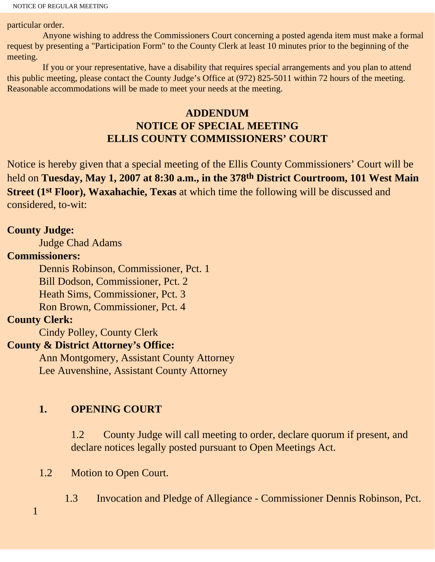particular order.

 Anyone wishing to address the Commissioners Court concerning a posted agenda item must make a formal request by presenting a "Participation Form" to the County Clerk at least 10 minutes prior to the beginning of the meeting.

 If you or your representative, have a disability that requires special arrangements and you plan to attend this public meeting, please contact the County Judge's Office at (972) 825-5011 within 72 hours of the meeting. Reasonable accommodations will be made to meet your needs at the meeting.

## **ADDENDUM NOTICE OF SPECIAL MEETING ELLIS COUNTY COMMISSIONERS' COURT**

Notice is hereby given that a special meeting of the Ellis County Commissioners' Court will be held on **Tuesday, May 1, 2007 at 8:30 a.m., in the 378th District Courtroom, 101 West Main Street (1st Floor), Waxahachie, Texas** at which time the following will be discussed and considered, to-wit:

#### **County Judge:**

Judge Chad Adams

#### **Commissioners:**

 Dennis Robinson, Commissioner, Pct. 1 Bill Dodson, Commissioner, Pct. 2 Heath Sims, Commissioner, Pct. 3 Ron Brown, Commissioner, Pct. 4

### **County Clerk:**

Cindy Polley, County Clerk

### **County & District Attorney's Office:**

 Ann Montgomery, Assistant County Attorney Lee Auvenshine, Assistant County Attorney

### **1. OPENING COURT**

1.2 County Judge will call meeting to order, declare quorum if present, and declare notices legally posted pursuant to Open Meetings Act.

1.2 Motion to Open Court.

1.3 Invocation and Pledge of Allegiance - Commissioner Dennis Robinson, Pct.

1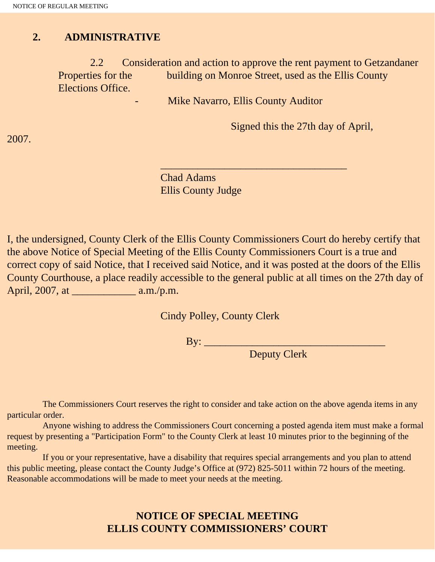#### **2. ADMINISTRATIVE**

2.2 Consideration and action to approve the rent payment to Getzandaner<br>Properties for the building on Monroe Street, used as the Ellis County building on Monroe Street, used as the Ellis County Elections Office.

Mike Navarro, Ellis County Auditor

 $\overline{\phantom{a}}$  , and the set of the set of the set of the set of the set of the set of the set of the set of the set of the set of the set of the set of the set of the set of the set of the set of the set of the set of the s

Signed this the 27th day of April,

Chad Adams Ellis County Judge

I, the undersigned, County Clerk of the Ellis County Commissioners Court do hereby certify that the above Notice of Special Meeting of the Ellis County Commissioners Court is a true and correct copy of said Notice, that I received said Notice, and it was posted at the doors of the Ellis County Courthouse, a place readily accessible to the general public at all times on the 27th day of April, 2007, at \_\_\_\_\_\_\_\_\_\_\_\_ a.m./p.m.

Cindy Polley, County Clerk

By: \_\_\_\_\_\_\_\_\_\_\_\_\_\_\_\_\_\_\_\_\_\_\_\_\_\_\_\_\_\_\_\_\_\_

Deputy Clerk

 The Commissioners Court reserves the right to consider and take action on the above agenda items in any particular order.

 Anyone wishing to address the Commissioners Court concerning a posted agenda item must make a formal request by presenting a "Participation Form" to the County Clerk at least 10 minutes prior to the beginning of the meeting.

 If you or your representative, have a disability that requires special arrangements and you plan to attend this public meeting, please contact the County Judge's Office at (972) 825-5011 within 72 hours of the meeting. Reasonable accommodations will be made to meet your needs at the meeting.

## **NOTICE OF SPECIAL MEETING ELLIS COUNTY COMMISSIONERS' COURT**

2007.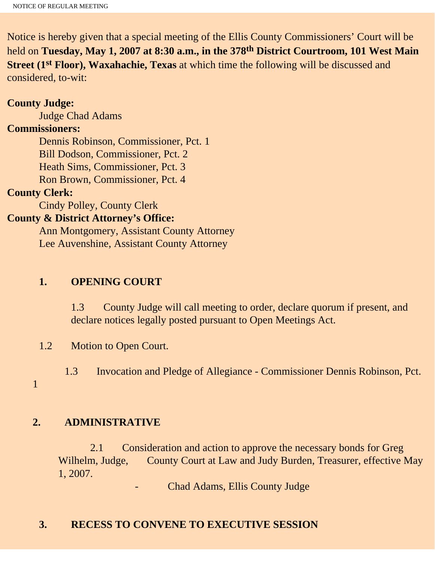Notice is hereby given that a special meeting of the Ellis County Commissioners' Court will be held on **Tuesday, May 1, 2007 at 8:30 a.m., in the 378th District Courtroom, 101 West Main Street (1st Floor), Waxahachie, Texas** at which time the following will be discussed and considered, to-wit:

#### **County Judge:**

Judge Chad Adams

### **Commissioners:**

 Dennis Robinson, Commissioner, Pct. 1 Bill Dodson, Commissioner, Pct. 2 Heath Sims, Commissioner, Pct. 3 Ron Brown, Commissioner, Pct. 4

#### **County Clerk:**

Cindy Polley, County Clerk

#### **County & District Attorney's Office:**

 Ann Montgomery, Assistant County Attorney Lee Auvenshine, Assistant County Attorney

#### **1. OPENING COURT**

1.3 County Judge will call meeting to order, declare quorum if present, and declare notices legally posted pursuant to Open Meetings Act.

1.2 Motion to Open Court.

1.3 Invocation and Pledge of Allegiance - Commissioner Dennis Robinson, Pct.

1

#### **2. ADMINISTRATIVE**

 2.1 Consideration and action to approve the necessary bonds for Greg Wilhelm, Judge, County Court at Law and Judy Burden, Treasurer, effective May 1, 2007.

- Chad Adams, Ellis County Judge

#### **3. RECESS TO CONVENE TO EXECUTIVE SESSION**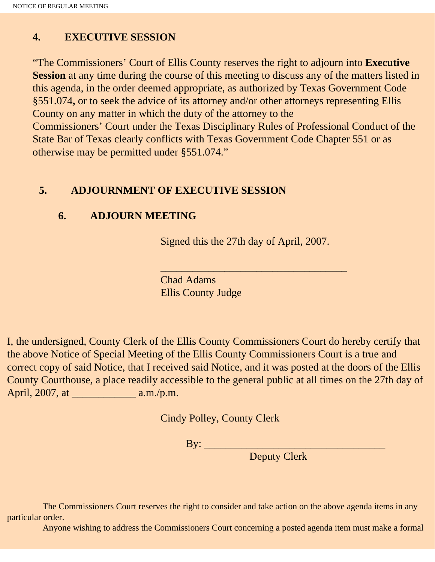## **4. EXECUTIVE SESSION**

"The Commissioners' Court of Ellis County reserves the right to adjourn into **Executive Session** at any time during the course of this meeting to discuss any of the matters listed in this agenda, in the order deemed appropriate, as authorized by Texas Government Code §551.074**,** or to seek the advice of its attorney and/or other attorneys representing Ellis County on any matter in which the duty of the attorney to the

Commissioners' Court under the Texas Disciplinary Rules of Professional Conduct of the State Bar of Texas clearly conflicts with Texas Government Code Chapter 551 or as otherwise may be permitted under §551.074."

#### **5. ADJOURNMENT OF EXECUTIVE SESSION**

#### **6. ADJOURN MEETING**

Signed this the 27th day of April, 2007.

\_\_\_\_\_\_\_\_\_\_\_\_\_\_\_\_\_\_\_\_\_\_\_\_\_\_\_\_\_\_\_\_\_\_\_

Chad Adams Ellis County Judge

I, the undersigned, County Clerk of the Ellis County Commissioners Court do hereby certify that the above Notice of Special Meeting of the Ellis County Commissioners Court is a true and correct copy of said Notice, that I received said Notice, and it was posted at the doors of the Ellis County Courthouse, a place readily accessible to the general public at all times on the 27th day of April, 2007, at \_\_\_\_\_\_\_\_\_\_\_\_ a.m./p.m.

Cindy Polley, County Clerk

By: \_\_\_\_\_\_\_\_\_\_\_\_\_\_\_\_\_\_\_\_\_\_\_\_\_\_\_\_\_\_\_\_\_\_

Deputy Clerk

 The Commissioners Court reserves the right to consider and take action on the above agenda items in any particular order.

Anyone wishing to address the Commissioners Court concerning a posted agenda item must make a formal